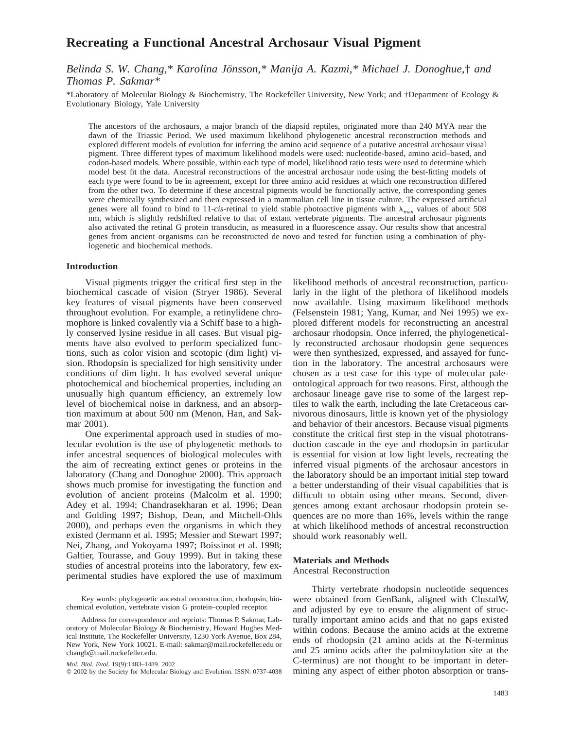# **Recreating a Functional Ancestral Archosaur Visual Pigment**

*Belinda S. W. Chang,\* Karolina Jönsson,\* Manija A. Kazmi,\* Michael J. Donoghue,† and Thomas P. Sakmar\**

\*Laboratory of Molecular Biology & Biochemistry, The Rockefeller University, New York; and †Department of Ecology & Evolutionary Biology, Yale University

The ancestors of the archosaurs, a major branch of the diapsid reptiles, originated more than 240 MYA near the dawn of the Triassic Period. We used maximum likelihood phylogenetic ancestral reconstruction methods and explored different models of evolution for inferring the amino acid sequence of a putative ancestral archosaur visual pigment. Three different types of maximum likelihood models were used: nucleotide-based, amino acid–based, and codon-based models. Where possible, within each type of model, likelihood ratio tests were used to determine which model best fit the data. Ancestral reconstructions of the ancestral archosaur node using the best-fitting models of each type were found to be in agreement, except for three amino acid residues at which one reconstruction differed from the other two. To determine if these ancestral pigments would be functionally active, the corresponding genes were chemically synthesized and then expressed in a mammalian cell line in tissue culture. The expressed artificial genes were all found to bind to 11-*cis*-retinal to yield stable photoactive pigments with  $\lambda_{\text{max}}$  values of about 508 nm, which is slightly redshifted relative to that of extant vertebrate pigments. The ancestral archosaur pigments also activated the retinal G protein transducin, as measured in a fluorescence assay. Our results show that ancestral genes from ancient organisms can be reconstructed de novo and tested for function using a combination of phylogenetic and biochemical methods.

## **Introduction**

Visual pigments trigger the critical first step in the biochemical cascade of vision (Stryer 1986). Several key features of visual pigments have been conserved throughout evolution. For example, a retinylidene chromophore is linked covalently via a Schiff base to a highly conserved lysine residue in all cases. But visual pigments have also evolved to perform specialized functions, such as color vision and scotopic (dim light) vision. Rhodopsin is specialized for high sensitivity under conditions of dim light. It has evolved several unique photochemical and biochemical properties, including an unusually high quantum efficiency, an extremely low level of biochemical noise in darkness, and an absorption maximum at about 500 nm (Menon, Han, and Sakmar 2001).

One experimental approach used in studies of molecular evolution is the use of phylogenetic methods to infer ancestral sequences of biological molecules with the aim of recreating extinct genes or proteins in the laboratory (Chang and Donoghue 2000). This approach shows much promise for investigating the function and evolution of ancient proteins (Malcolm et al. 1990; Adey et al. 1994; Chandrasekharan et al. 1996; Dean and Golding 1997; Bishop, Dean, and Mitchell-Olds 2000), and perhaps even the organisms in which they existed (Jermann et al. 1995; Messier and Stewart 1997; Nei, Zhang, and Yokoyama 1997; Boissinot et al. 1998; Galtier, Tourasse, and Gouy 1999). But in taking these studies of ancestral proteins into the laboratory, few experimental studies have explored the use of maximum

Key words: phylogenetic ancestral reconstruction, rhodopsin, biochemical evolution, vertebrate vision G protein–coupled receptor.

*Mol. Biol. Evol.* 19(9):1483–1489. 2002

 $©$  2002 by the Society for Molecular Biology and Evolution. ISSN: 0737-4038

likelihood methods of ancestral reconstruction, particularly in the light of the plethora of likelihood models now available. Using maximum likelihood methods (Felsenstein 1981; Yang, Kumar, and Nei 1995) we explored different models for reconstructing an ancestral archosaur rhodopsin. Once inferred, the phylogenetically reconstructed archosaur rhodopsin gene sequences were then synthesized, expressed, and assayed for function in the laboratory. The ancestral archosaurs were chosen as a test case for this type of molecular paleontological approach for two reasons. First, although the archosaur lineage gave rise to some of the largest reptiles to walk the earth, including the late Cretaceous carnivorous dinosaurs, little is known yet of the physiology and behavior of their ancestors. Because visual pigments constitute the critical first step in the visual phototransduction cascade in the eye and rhodopsin in particular is essential for vision at low light levels, recreating the inferred visual pigments of the archosaur ancestors in the laboratory should be an important initial step toward a better understanding of their visual capabilities that is difficult to obtain using other means. Second, divergences among extant archosaur rhodopsin protein sequences are no more than 16%, levels within the range at which likelihood methods of ancestral reconstruction should work reasonably well.

### **Materials and Methods**

Ancestral Reconstruction

Thirty vertebrate rhodopsin nucleotide sequences were obtained from GenBank, aligned with ClustalW, and adjusted by eye to ensure the alignment of structurally important amino acids and that no gaps existed within codons. Because the amino acids at the extreme ends of rhodopsin (21 amino acids at the N-terminus and 25 amino acids after the palmitoylation site at the C-terminus) are not thought to be important in determining any aspect of either photon absorption or trans-

Address for correspondence and reprints: Thomas P. Sakmar, Laboratory of Molecular Biology & Biochemistry, Howard Hughes Medical Institute, The Rockefeller University, 1230 York Avenue, Box 284, New York, New York 10021. E-mail: sakmar@mail.rockefeller.edu or changb@mail.rockefeller.edu.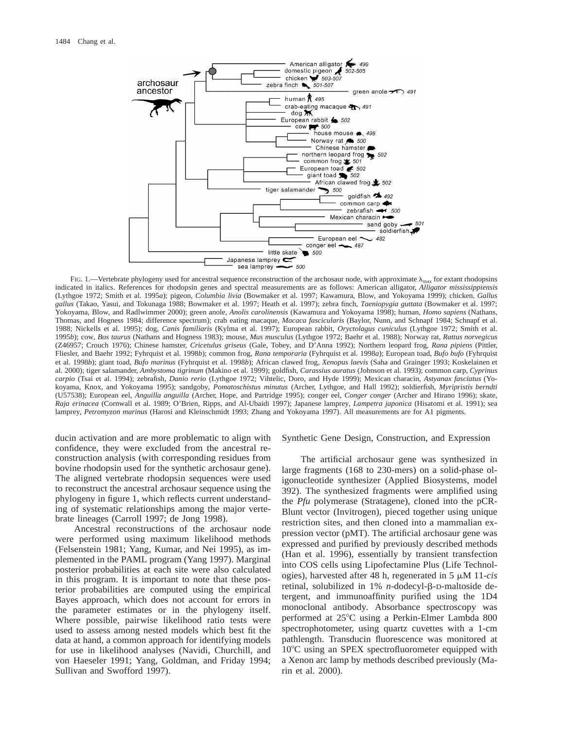

FIG. 1.—Vertebrate phylogeny used for ancestral sequence reconstruction of the archosaur node, with approximate  $\lambda_{\text{max}}$  for extant rhodopsins indicated in italics. References for rhodopsin genes and spectral measurements are as follows: American alligator, *Alligator mississippiensis* (Lythgoe 1972; Smith et al. 1995*a*); pigeon, *Columbia livia* (Bowmaker et al. 1997; Kawamura, Blow, and Yokoyama 1999); chicken, *Gallus gallus* (Takao, Yasui, and Tokunaga 1988; Bowmaker et al. 1997; Heath et al. 1997); zebra finch, *Taeniopygia guttata* (Bowmaker et al. 1997; Yokoyama, Blow, and Radlwimmer 2000); green anole, *Anolis carolinensis* (Kawamura and Yokoyama 1998); human, *Homo sapiens* (Nathans, Thomas, and Hogness 1984; difference spectrum); crab eating macaque, *Macaca fascicularis* (Baylor, Nunn, and Schnapf 1984; Schnapf et al. 1988; Nickells et al. 1995); dog, *Canis familiaris* (Kylma et al. 1997); European rabbit, *Oryctolagus cuniculus* (Lythgoe 1972; Smith et al. 1995*b*); cow, *Bos taurus* (Nathans and Hogness 1983); mouse, *Mus musculus* (Lythgoe 1972; Baehr et al. 1988); Norway rat, *Rattus norvegicus* (Z46957; Crouch 1976); Chinese hamster, *Cricetulus griseus* (Gale, Tobey, and D'Anna 1992); Northern leopard frog, *Rana pipiens* (Pittler, Fliesler, and Baehr 1992; Fyhrquist et al. 1998*b*); common frog, *Rana temporaria* (Fyhrquist et al. 1998*a*); European toad, *Bufo bufo* (Fyhrquist et al. 1998*b*); giant toad, *Bufo marinus* (Fyhrquist et al. 1998*b*); African clawed frog, *Xenopus laevis* (Saha and Grainger 1993; Koskelainen et al. 2000); tiger salamander, *Ambystoma tigrinum* (Makino et al. 1999); goldfish, *Carassius auratus* (Johnson et al. 1993); common carp, *Cyprinus carpio* (Tsai et al. 1994); zebrafish, *Danio rerio* (Lythgoe 1972; Vihtelic, Doro, and Hyde 1999); Mexican characin, *Astyanax fasciatus* (Yokoyama, Knox, and Yokoyama 1995); sandgoby, *Pomatoschistus minutus* (Archer, Lythgoe, and Hall 1992); soldierfish, *Myripristis berndti* (U57538); European eel, *Anguilla anguilla* (Archer, Hope, and Partridge 1995); conger eel, *Conger conger* (Archer and Hirano 1996); skate, *Raja erinacea* (Cornwall et al. 1989; O'Brien, Ripps, and Al-Ubaidi 1997); Japanese lamprey, *Lampetra japonica* (Hisatomi et al. 1991); sea lamprey, *Petromyzon marinus* (Harosi and Kleinschmidt 1993; Zhang and Yokoyama 1997). All measurements are for A1 pigments.

ducin activation and are more problematic to align with confidence, they were excluded from the ancestral reconstruction analysis (with corresponding residues from bovine rhodopsin used for the synthetic archosaur gene). The aligned vertebrate rhodopsin sequences were used to reconstruct the ancestral archosaur sequence using the phylogeny in figure 1, which reflects current understanding of systematic relationships among the major vertebrate lineages (Carroll 1997; de Jong 1998).

Ancestral reconstructions of the archosaur node were performed using maximum likelihood methods (Felsenstein 1981; Yang, Kumar, and Nei 1995), as implemented in the PAML program (Yang 1997). Marginal posterior probabilities at each site were also calculated in this program. It is important to note that these posterior probabilities are computed using the empirical Bayes approach, which does not account for errors in the parameter estimates or in the phylogeny itself. Where possible, pairwise likelihood ratio tests were used to assess among nested models which best fit the data at hand, a common approach for identifying models for use in likelihood analyses (Navidi, Churchill, and von Haeseler 1991; Yang, Goldman, and Friday 1994; Sullivan and Swofford 1997).

#### Synthetic Gene Design, Construction, and Expression

The artificial archosaur gene was synthesized in large fragments (168 to 230-mers) on a solid-phase oligonucleotide synthesizer (Applied Biosystems, model 392). The synthesized fragments were amplified using the *Pfu* polymerase (Stratagene), cloned into the pCR-Blunt vector (Invitrogen), pieced together using unique restriction sites, and then cloned into a mammalian expression vector (pMT). The artificial archosaur gene was expressed and purified by previously described methods (Han et al. 1996), essentially by transient transfection into COS cells using Lipofectamine Plus (Life Technologies), harvested after 48 h, regenerated in 5 mM 11-*cis* retinal, solubilized in 1% *n*-dodecyl-β-D-maltoside detergent, and immunoaffinity purified using the 1D4 monoclonal antibody. Absorbance spectroscopy was performed at 25°C using a Perkin-Elmer Lambda 800 spectrophotometer, using quartz cuvettes with a 1-cm pathlength. Transducin fluorescence was monitored at 10<sup>o</sup>C using an SPEX spectrofluorometer equipped with a Xenon arc lamp by methods described previously (Marin et al. 2000).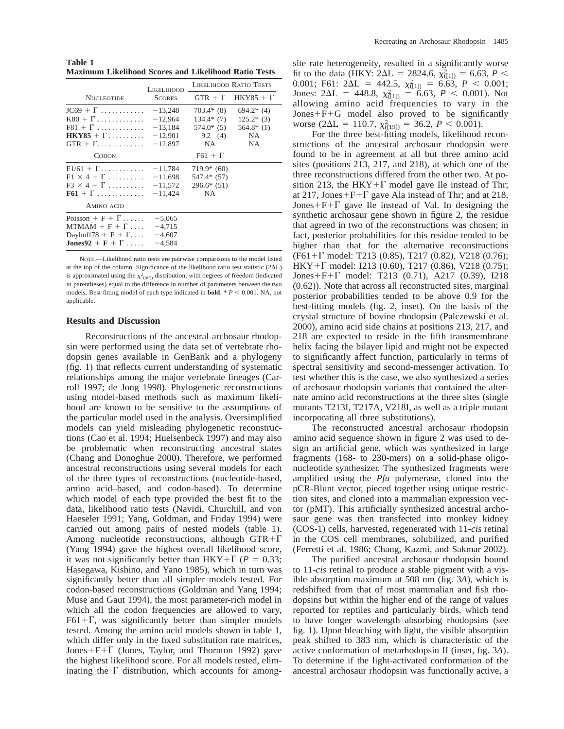**Table 1 Maximum Likelihood Scores and Likelihood Ratio Tests**

|                                                                                                       | <b>LIKELIHOOD</b>                                             | LIKELIHOOD RATIO TESTS                                       |                                                         |
|-------------------------------------------------------------------------------------------------------|---------------------------------------------------------------|--------------------------------------------------------------|---------------------------------------------------------|
| <b>NUCLEOTIDE</b>                                                                                     | <b>SCORES</b>                                                 |                                                              | $GTR + \Gamma$ HKY85 + $\Gamma$                         |
| $JC69 + \Gamma$<br>$K80 + \Gamma$<br>$F81 + \Gamma$<br>$HKY85 + \Gamma$<br>$GTR + \Gamma$             | $-13,248$<br>$-12.964$<br>$-13,184$<br>$-12,901$<br>$-12,897$ | $703.4*$ (8)<br>$134.4*$ (7)<br>$574.0*(5)$<br>9.2(4)<br>NA. | $694.2*$ (4)<br>$125.2*(3)$<br>$564.8*$ (1)<br>NA<br>NA |
| <b>CODON</b>                                                                                          |                                                               | $F61 + \Gamma$                                               |                                                         |
| $F1/61 + \Gamma$<br>$F1 \times 4 + \Gamma$<br>$F3 \times 4 + \Gamma$<br>$F61 + \Gamma$<br>AMINO ACID  | $-11,784$<br>$-11,698$<br>$-11,572$<br>$-11,424$              | $719.9*(60)$<br>547.4* (57)<br>$296.6*(51)$<br>NA.           |                                                         |
| Poisson + $F + \Gamma$<br>$MTMAM + F + \Gamma $<br>Dayhoff78 + $F + \Gamma$<br>$Jones92 + F + \Gamma$ | $-5,065$<br>$-4,715$<br>$-4,607$<br>$-4,584$                  |                                                              |                                                         |

NOTE.—Likelihood ratio tests are pairwise comparisons to the model listed at the top of the column. Significance of the likelihood ratio test statistic  $(2\Delta L)$ is approximated using the  $\chi^2$ <sub>([df]</sub>) distribution, with degrees of freedom (indicated in parentheses) equal to the difference in number of parameters between the two models. Best fitting model of each type indicated in **bold**.  $* P < 0.001$ . NA, not applicable.

#### **Results and Discussion**

Reconstructions of the ancestral archosaur rhodopsin were performed using the data set of vertebrate rhodopsin genes available in GenBank and a phylogeny (fig. 1) that reflects current understanding of systematic relationships among the major vertebrate lineages (Carroll 1997; de Jong 1998). Phylogenetic reconstructions using model-based methods such as maximum likelihood are known to be sensitive to the assumptions of the particular model used in the analysis. Oversimplified models can yield misleading phylogenetic reconstructions (Cao et al. 1994; Huelsenbeck 1997) and may also be problematic when reconstructing ancestral states (Chang and Donoghue 2000). Therefore, we performed ancestral reconstructions using several models for each of the three types of reconstructions (nucleotide-based, amino acid–based, and codon-based). To determine which model of each type provided the best fit to the data, likelihood ratio tests (Navidi, Churchill, and von Haeseler 1991; Yang, Goldman, and Friday 1994) were carried out among pairs of nested models (table 1). Among nucleotide reconstructions, although  $GTR+\Gamma$ (Yang 1994) gave the highest overall likelihood score, it was not significantly better than HKY+ $\Gamma$  (*P* = 0.33; Hasegawa, Kishino, and Yano 1985), which in turn was significantly better than all simpler models tested. For codon-based reconstructions (Goldman and Yang 1994; Muse and Gaut 1994), the most parameter-rich model in which all the codon frequencies are allowed to vary,  $F61+\Gamma$ , was significantly better than simpler models tested. Among the amino acid models shown in table 1, which differ only in the fixed substitution rate matrices, Jones+ $F + \Gamma$  (Jones, Taylor, and Thornton 1992) gave the highest likelihood score. For all models tested, eliminating the  $\Gamma$  distribution, which accounts for among-

site rate heterogeneity, resulted in a significantly worse fit to the data (HKY:  $2\Delta L = 2824.6$ ,  $\chi^2_{(11)} = 6.63$ ,  $P <$ 0.001; F61:  $2\Delta L = 442.5$ ,  $\chi^2_{(11)} = 6.63$ ,  $P < 0.001$ ; Jones:  $2\Delta L = 448.8$ ,  $\chi^2_{([1])} = 6.63$ ,  $P < 0.001$ ). Not allowing amino acid frequencies to vary in the  $Jones + F + G$  model also proved to be significantly worse (2 $\Delta L = 110.7$ ,  $\chi^2_{(19)} = 36.2$ ,  $P < 0.001$ ).

For the three best-fitting models, likelihood reconstructions of the ancestral archosaur rhodopsin were found to be in agreement at all but three amino acid sites (positions 213, 217, and 218), at which one of the three reconstructions differed from the other two. At position 213, the HKY+ $\Gamma$  model gave Ile instead of Thr; at 217, Jones+F+ $\Gamma$  gave Ala instead of Thr; and at 218, Jones+ $F + \Gamma$  gave Ile instead of Val. In designing the synthetic archosaur gene shown in figure 2, the residue that agreed in two of the reconstructions was chosen; in fact, posterior probabilities for this residue tended to be higher than that for the alternative reconstructions  $(F61+\Gamma \text{ model: } T213 (0.85), T217 (0.82), V218 (0.76);$  $HKY+\Gamma$  model: I213 (0.60), T217 (0.86), V218 (0.75); Jones+ $F + \Gamma$  model: T213 (0.71), A217 (0.39), I218 (0.62)). Note that across all reconstructed sites, marginal posterior probabilities tended to be above 0.9 for the best-fitting models (fig. 2, inset). On the basis of the crystal structure of bovine rhodopsin (Palczewski et al. 2000), amino acid side chains at positions 213, 217, and 218 are expected to reside in the fifth transmembrane helix facing the bilayer lipid and might not be expected to significantly affect function, particularly in terms of spectral sensitivity and second-messenger activation. To test whether this is the case, we also synthesized a series of archosaur rhodopsin variants that contained the alternate amino acid reconstructions at the three sites (single mutants T213I, T217A, V218I, as well as a triple mutant incorporating all three substitutions).

The reconstructed ancestral archosaur rhodopsin amino acid sequence shown in figure 2 was used to design an artificial gene, which was synthesized in large fragments (168- to 230-mers) on a solid-phase oligonucleotide synthesizer. The synthesized fragments were amplified using the *Pfu* polymerase, cloned into the pCR-Blunt vector, pieced together using unique restriction sites, and cloned into a mammalian expression vector (pMT). This artificially synthesized ancestral archosaur gene was then transfected into monkey kidney (COS-1) cells, harvested, regenerated with 11-*cis* retinal in the COS cell membranes, solubilized, and purified (Ferretti et al. 1986; Chang, Kazmi, and Sakmar 2002).

The purified ancestral archosaur rhodopsin bound to 11-*cis* retinal to produce a stable pigment with a visible absorption maximum at 508 nm (fig. 3*A*), which is redshifted from that of most mammalian and fish rhodopsins but within the higher end of the range of values reported for reptiles and particularly birds, which tend to have longer wavelength–absorbing rhodopsins (see fig. 1). Upon bleaching with light, the visible absorption peak shifted to 383 nm, which is characteristic of the active conformation of metarhodopsin II (inset, fig. 3*A*). To determine if the light-activated conformation of the ancestral archosaur rhodopsin was functionally active, a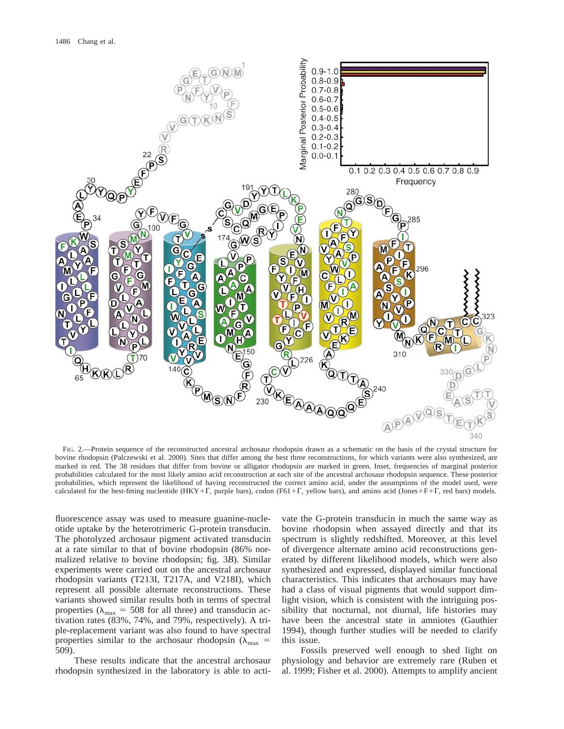

FIG. 2.—Protein sequence of the reconstructed ancestral archosaur rhodopsin drawn as a schematic on the basis of the crystal structure for bovine rhodopsin (Palczewski et al. 2000). Sites that differ among the best three reconstructions, for which variants were also synthesized, are marked in red. The 38 residues that differ from bovine or alligator rhodopsin are marked in green. Inset, frequencies of marginal posterior probabilities calculated for the most likely amino acid reconstruction at each site of the ancestral archosaur rhodopsin sequence. These posterior probabilities, which represent the likelihood of having reconstructed the correct amino acid, under the assumptions of the model used, were calculated for the best-fitting nucleotide (HKY+F, purple bars), codon (F61+F, yellow bars), and amino acid (Jones+F+F, red bars) models.

fluorescence assay was used to measure guanine-nucleotide uptake by the heterotrimeric G-protein transducin. The photolyzed archosaur pigment activated transducin at a rate similar to that of bovine rhodopsin (86% normalized relative to bovine rhodopsin; fig. 3*B*). Similar experiments were carried out on the ancestral archosaur rhodopsin variants (T213I, T217A, and V218I), which represent all possible alternate reconstructions. These variants showed similar results both in terms of spectral properties ( $\lambda_{\text{max}}$  = 508 for all three) and transducin activation rates (83%, 74%, and 79%, respectively). A triple-replacement variant was also found to have spectral properties similar to the archosaur rhodopsin ( $\lambda_{\text{max}}$  = 509).

These results indicate that the ancestral archosaur rhodopsin synthesized in the laboratory is able to activate the G-protein transducin in much the same way as bovine rhodopsin when assayed directly and that its spectrum is slightly redshifted. Moreover, at this level of divergence alternate amino acid reconstructions generated by different likelihood models, which were also synthesized and expressed, displayed similar functional characteristics. This indicates that archosaurs may have had a class of visual pigments that would support dimlight vision, which is consistent with the intriguing possibility that nocturnal, not diurnal, life histories may have been the ancestral state in amniotes (Gauthier 1994), though further studies will be needed to clarify this issue.

Fossils preserved well enough to shed light on physiology and behavior are extremely rare (Ruben et al. 1999; Fisher et al. 2000). Attempts to amplify ancient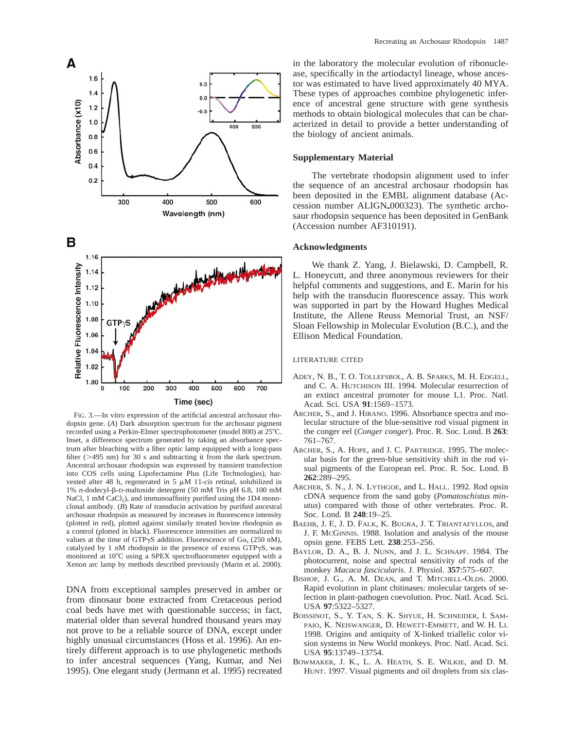

FIG. 3.—In vitro expression of the artificial ancestral archosaur rhodopsin gene. (*A*) Dark absorption spectrum for the archosaur pigment recorded using a Perkin-Elmer spectrophotometer (model 800) at 25°C. Inset, a difference spectrum generated by taking an absorbance spectrum after bleaching with a fiber optic lamp equipped with a long-pass filter ( $>495$  nm) for 30 s and subtracting it from the dark spectrum. Ancestral archosaur rhodopsin was expressed by transient transfection into COS cells using Lipofectamine Plus (Life Technologies), harvested after 48 h, regenerated in 5  $\mu$ M 11-*cis* retinal, solubilized in 1% *n*-dodecyl-b-D-maltoside detergent (50 mM Tris pH 6.8, 100 mM NaCl, 1 mM CaCl<sub>2</sub>), and immunoaffinity purified using the  $1D4$  monoclonal antibody. (*B*) Rate of transducin activation by purified ancestral archosaur rhodopsin as measured by increases in fluorescence intensity (plotted in red), plotted against similarly treated bovine rhodopsin as a control (plotted in black). Fluorescence intensities are normalized to values at the time of GTP $\gamma$ S addition. Fluorescence of G $\alpha$ , (250 nM), catalyzed by 1 nM rhodopsin in the presence of excess  $GTP\gamma S$ , was monitored at 10°C using a SPEX spectrofluorometer equipped with a Xenon arc lamp by methods described previously (Marin et al. 2000).

DNA from exceptional samples preserved in amber or from dinosaur bone extracted from Cretaceous period coal beds have met with questionable success; in fact, material older than several hundred thousand years may not prove to be a reliable source of DNA, except under highly unusual circumstances (Hoss et al. 1996). An entirely different approach is to use phylogenetic methods to infer ancestral sequences (Yang, Kumar, and Nei 1995). One elegant study (Jermann et al. 1995) recreated in the laboratory the molecular evolution of ribonuclease, specifically in the artiodactyl lineage, whose ancestor was estimated to have lived approximately 40 MYA. These types of approaches combine phylogenetic inference of ancestral gene structure with gene synthesis methods to obtain biological molecules that can be characterized in detail to provide a better understanding of the biology of ancient animals.

## **Supplementary Material**

The vertebrate rhodopsin alignment used to infer the sequence of an ancestral archosaur rhodopsin has been deposited in the EMBL alignment database (Accession number ALIGN<sub>-000323</sub>). The synthetic archosaur rhodopsin sequence has been deposited in GenBank (Accession number AF310191).

## **Acknowledgments**

We thank Z. Yang, J. Bielawski, D. Campbell, R. L. Honeycutt, and three anonymous reviewers for their helpful comments and suggestions, and E. Marin for his help with the transducin fluorescence assay. This work was supported in part by the Howard Hughes Medical Institute, the Allene Reuss Memorial Trust, an NSF/ Sloan Fellowship in Molecular Evolution (B.C.), and the Ellison Medical Foundation.

## LITERATURE CITED

- ADEY, N. B., T. O. TOLLEFSBOL, A. B. SPARKS, M. H. EDGELL, and C. A. HUTCHISON III. 1994. Molecular resurrection of an extinct ancestral promoter for mouse L1. Proc. Natl. Acad. Sci. USA **91**:1569–1573.
- ARCHER, S., and J. HIRANO. 1996. Absorbance spectra and molecular structure of the blue-sensitive rod visual pigment in the conger eel (*Conger conger*). Proc. R. Soc. Lond. B **263**: 761–767.
- ARCHER, S., A. HOPE, and J. C. PARTRIDGE. 1995. The molecular basis for the green-blue sensitivity shift in the rod visual pigments of the European eel. Proc. R. Soc. Lond. B **262**:289–295.
- ARCHER, S. N., J. N. LYTHGOE, and L. HALL. 1992. Rod opsin cDNA sequence from the sand goby (*Pomatoschistus minutus*) compared with those of other vertebrates. Proc. R. Soc. Lond. B **248**:19–25.
- BAEHR, J. F., J. D. FALK, K. BUGRA, J. T. TRIANTAFYLLOS, and J. F. MCGINNIS. 1988. Isolation and analysis of the mouse opsin gene. FEBS Lett. **238**:253–256.
- BAYLOR, D. A., B. J. NUNN, and J. L. SCHNAPF. 1984. The photocurrent, noise and spectral sensitivity of rods of the monkey *Macaca fascicularis*. J. Physiol. **357**:575–607.
- BISHOP, J. G., A. M. DEAN, and T. MITCHELL-OLDS. 2000. Rapid evolution in plant chitinases: molecular targets of selection in plant-pathogen coevolution. Proc. Natl. Acad. Sci. USA **97**:5322–5327.
- BOISSINOT, S., Y. TAN, S. K. SHYUE, H. SCHNEIDER, I. SAM-PAIO, K. NEISWANGER, D. HEWETT-EMMETT, and W. H. LI. 1998. Origins and antiquity of X-linked triallelic color vision systems in New World monkeys. Proc. Natl. Acad. Sci. USA **95**:13749–13754.
- BOWMAKER, J. K., L. A. HEATH, S. E. WILKIE, and D. M. HUNT. 1997. Visual pigments and oil droplets from six clas-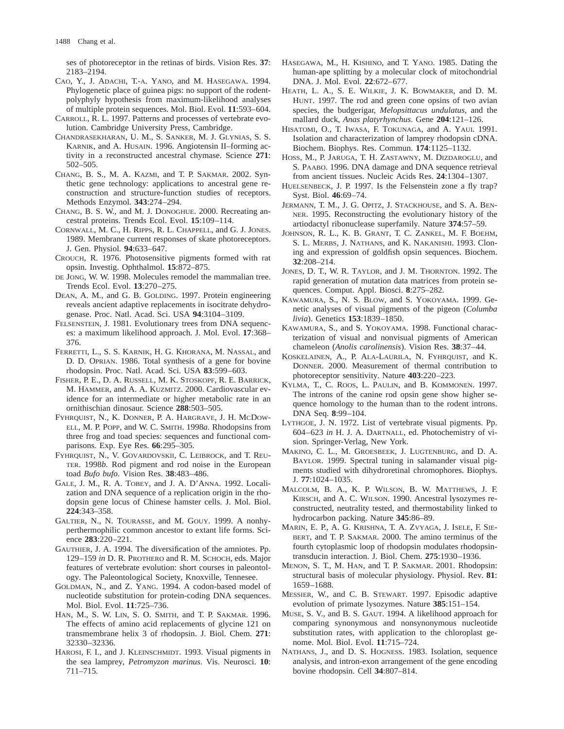ses of photoreceptor in the retinas of birds. Vision Res. **37**: 2183–2194.

- CAO, Y., J. ADACHI, T.-A. YANO, and M. HASEGAWA. 1994. Phylogenetic place of guinea pigs: no support of the rodentpolyphyly hypothesis from maximum-likelihood analyses of multiple protein sequences. Mol. Biol. Evol. **11**:593–604.
- CARROLL, R. L. 1997. Patterns and processes of vertebrate evolution. Cambridge University Press, Cambridge.
- CHANDRASEKHARAN, U. M., S. SANKER, M. J. GLYNIAS, S. S. KARNIK, and A. HUSAIN. 1996. Angiotensin II–forming activity in a reconstructed ancestral chymase. Science **271**: 502–505.
- CHANG, B. S., M. A. KAZMI, and T. P. SAKMAR. 2002. Synthetic gene technology: applications to ancestral gene reconstruction and structure-function studies of receptors. Methods Enzymol. **343**:274–294.
- CHANG, B. S. W., and M. J. DONOGHUE. 2000. Recreating ancestral proteins. Trends Ecol. Evol. **15**:109–114.
- CORNWALL, M. C., H. RIPPS, R. L. CHAPPELL, and G. J. JONES. 1989. Membrane current responses of skate photoreceptors. J. Gen. Physiol. **94**:633–647.
- CROUCH, R. 1976. Photosensitive pigments formed with rat opsin. Investig. Ophthalmol. **15**:872–875.
- DE JONG, W. W. 1998. Molecules remodel the mammalian tree. Trends Ecol. Evol. **13**:270–275.
- DEAN, A. M., and G. B. GOLDING. 1997. Protein engineering reveals ancient adaptive replacements in isocitrate dehydrogenase. Proc. Natl. Acad. Sci. USA **94**:3104–3109.
- FELSENSTEIN, J. 1981. Evolutionary trees from DNA sequences: a maximum likelihood approach. J. Mol. Evol. **17**:368– 376.
- FERRETTI, L., S. S. KARNIK, H. G. KHORANA, M. NASSAL, and D. D. OPRIAN. 1986. Total synthesis of a gene for bovine rhodopsin. Proc. Natl. Acad. Sci. USA **83**:599–603.
- FISHER, P. E., D. A. RUSSELL, M. K. STOSKOPF, R. E. BARRICK, M. HAMMER, and A. A. KUZMITZ. 2000. Cardiovascular evidence for an intermediate or higher metabolic rate in an ornithischian dinosaur. Science **288**:503–505.
- FYHRQUIST, N., K. DONNER, P. A. HARGRAVE, J. H. MCDOW-ELL, M. P. POPP, and W. C. SMITH. 1998*a.* Rhodopsins from three frog and toad species: sequences and functional comparisons. Exp. Eye Res. **66**:295–305.
- FYHRQUIST, N., V. GOVARDOVSKII, C. LEIBROCK, and T. REU-TER. 1998*b.* Rod pigment and rod noise in the European toad *Bufo bufo*. Vision Res. **38**:483–486.
- GALE, J. M., R. A. TOBEY, and J. A. D'ANNA. 1992. Localization and DNA sequence of a replication origin in the rhodopsin gene locus of Chinese hamster cells. J. Mol. Biol. **224**:343–358.
- GALTIER, N., N. TOURASSE, and M. GOUY. 1999. A nonhyperthermophilic common ancestor to extant life forms. Science **283**:220–221.
- GAUTHIER, J. A. 1994. The diversification of the amniotes. Pp. 129–159 *in* D. R. PROTHERO and R. M. SCHOCH, eds. Major features of vertebrate evolution: short courses in paleontology. The Paleontological Society, Knoxville, Tennesee.
- GOLDMAN, N., and Z. YANG. 1994. A codon-based model of nucleotide substitution for protein-coding DNA sequences. Mol. Biol. Evol. **11**:725–736.
- HAN, M., S. W. LIN, S. O. SMITH, and T. P. SAKMAR. 1996. The effects of amino acid replacements of glycine 121 on transmembrane helix 3 of rhodopsin. J. Biol. Chem. **271**: 32330–32336.
- HAROSI, F. I., and J. KLEINSCHMIDT. 1993. Visual pigments in the sea lamprey, *Petromyzon marinus*. Vis. Neurosci. **10**: 711–715.
- HASEGAWA, M., H. KISHINO, and T. YANO. 1985. Dating the human-ape splitting by a molecular clock of mitochondrial DNA. J. Mol. Evol. **22**:672–677.
- HEATH, L. A., S. E. WILKIE, J. K. BOWMAKER, and D. M. HUNT. 1997. The rod and green cone opsins of two avian species, the budgerigar, *Melopsittacus undulatus*, and the mallard duck, *Anas platyrhynchus*. Gene **204**:121–126.
- HISATOMI, O., T. IWASA, F. TOKUNAGA, and A. YAUI. 1991. Isolation and characterization of lamprey rhodopsin cDNA. Biochem. Biophys. Res. Commun. **174**:1125–1132.
- HOSS, M., P. JARUGA, T. H. ZASTAWNY, M. DIZDAROGLU, and S. PAABO. 1996. DNA damage and DNA sequence retrieval from ancient tissues. Nucleic Acids Res. **24**:1304–1307.
- HUELSENBECK, J. P. 1997. Is the Felsenstein zone a fly trap? Syst. Biol. **46**:69–74.
- JERMANN, T. M., J. G. OPITZ, J. STACKHOUSE, and S. A. BEN-NER. 1995. Reconstructing the evolutionary history of the artiodactyl ribonuclease superfamily. Nature **374**:57–59.
- JOHNSON, R. L., K. B. GRANT, T. C. ZANKEL, M. F. BOEHM, S. L. MERBS, J. NATHANS, and K. NAKANISHI. 1993. Cloning and expression of goldfish opsin sequences. Biochem. **32**:208–214.
- JONES, D. T., W. R. TAYLOR, and J. M. THORNTON. 1992. The rapid generation of mutation data matrices from protein sequences. Comput. Appl. Biosci. **8**:275–282.
- KAWAMURA, S., N. S. BLOW, and S. YOKOYAMA. 1999. Genetic analyses of visual pigments of the pigeon (*Columba livia*). Genetics **153**:1839–1850.
- KAWAMURA, S., and S. YOKOYAMA. 1998. Functional characterization of visual and nonvisual pigments of American chameleon (*Anolis carolinensis*). Vision Res. **38**:37–44.
- KOSKELAINEN, A., P. ALA-LAURILA, N. FYHRQUIST, and K. DONNER. 2000. Measurement of thermal contribution to photoreceptor sensitivity. Nature **403**:220–223.
- KYLMA, T., C. ROOS, L. PAULIN, and B. KOMMONEN. 1997. The introns of the canine rod opsin gene show higher sequence homology to the human than to the rodent introns. DNA Seq. **8**:99–104.
- LYTHGOE, J. N. 1972. List of vertebrate visual pigments. Pp. 604–623 *in* H. J. A. DARTNALL, ed. Photochemistry of vision. Springer-Verlag, New York.
- MAKINO, C. L., M. GROESBEEK, J. LUGTENBURG, and D. A. BAYLOR. 1999. Spectral tuning in salamander visual pigments studied with dihydroretinal chromophores. Biophys. J. **77**:1024–1035.
- MALCOLM, B. A., K. P. WILSON, B. W. MATTHEWS, J. F. KIRSCH, and A. C. WILSON. 1990. Ancestral lysozymes reconstructed, neutrality tested, and thermostability linked to hydrocarbon packing. Nature **345**:86–89.
- MARIN, E. P., A. G. KRISHNA, T. A. ZVYAGA, J. ISELE, F. SIE-BERT, and T. P. SAKMAR. 2000. The amino terminus of the fourth cytoplasmic loop of rhodopsin modulates rhodopsintransducin interaction. J. Biol. Chem. **275**:1930–1936.
- MENON, S. T., M. HAN, and T. P. SAKMAR. 2001. Rhodopsin: structural basis of molecular physiology. Physiol. Rev. **81**: 1659–1688.
- MESSIER, W., and C. B. STEWART. 1997. Episodic adaptive evolution of primate lysozymes. Nature **385**:151–154.
- MUSE, S. V., and B. S. GAUT. 1994. A likelihood approach for comparing synonymous and nonsynonymous nucleotide substitution rates, with application to the chloroplast genome. Mol. Biol. Evol. **11**:715–724.
- NATHANS, J., and D. S. HOGNESS. 1983. Isolation, sequence analysis, and intron-exon arrangement of the gene encoding bovine rhodopsin. Cell **34**:807–814.